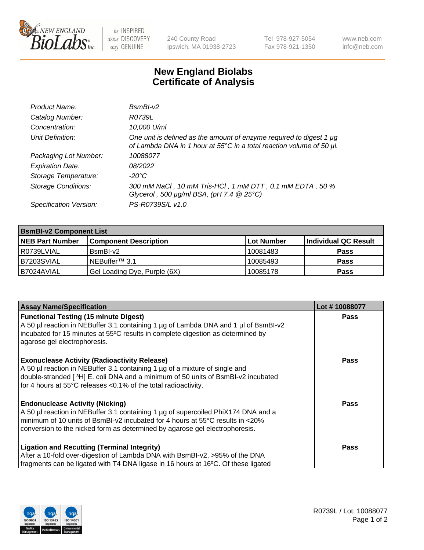

 $be$  INSPIRED drive DISCOVERY stay GENUINE

240 County Road Ipswich, MA 01938-2723 Tel 978-927-5054 Fax 978-921-1350 www.neb.com info@neb.com

## **New England Biolabs Certificate of Analysis**

| Product Name:              | $BsmBI-v2$                                                                                                                                  |
|----------------------------|---------------------------------------------------------------------------------------------------------------------------------------------|
| Catalog Number:            | R0739L                                                                                                                                      |
| Concentration:             | 10,000 U/ml                                                                                                                                 |
| Unit Definition:           | One unit is defined as the amount of enzyme required to digest 1 µg<br>of Lambda DNA in 1 hour at 55°C in a total reaction volume of 50 µl. |
| Packaging Lot Number:      | 10088077                                                                                                                                    |
| <b>Expiration Date:</b>    | 08/2022                                                                                                                                     |
| Storage Temperature:       | $-20^{\circ}$ C                                                                                                                             |
| <b>Storage Conditions:</b> | 300 mM NaCl, 10 mM Tris-HCl, 1 mM DTT, 0.1 mM EDTA, 50 %<br>Glycerol, 500 $\mu$ g/ml BSA, (pH 7.4 $@25°C$ )                                 |
| Specification Version:     | PS-R0739S/L v1.0                                                                                                                            |

| <b>BsmBI-v2 Component List</b> |                              |                   |                      |  |  |
|--------------------------------|------------------------------|-------------------|----------------------|--|--|
| <b>NEB Part Number</b>         | <b>Component Description</b> | <b>Lot Number</b> | Individual QC Result |  |  |
| R0739LVIAL                     | BsmBI-v2                     | 10081483          | <b>Pass</b>          |  |  |
| B7203SVIAL                     | INEBuffer™ 3.1               | 10085493          | <b>Pass</b>          |  |  |
| IB7024AVIAL                    | Gel Loading Dye, Purple (6X) | 10085178          | <b>Pass</b>          |  |  |

| <b>Assay Name/Specification</b>                                                                                                                                        | Lot #10088077 |
|------------------------------------------------------------------------------------------------------------------------------------------------------------------------|---------------|
| <b>Functional Testing (15 minute Digest)</b>                                                                                                                           | <b>Pass</b>   |
| A 50 µl reaction in NEBuffer 3.1 containing 1 µg of Lambda DNA and 1 µl of BsmBI-v2<br>incubated for 15 minutes at 55°C results in complete digestion as determined by |               |
| agarose gel electrophoresis.                                                                                                                                           |               |
|                                                                                                                                                                        |               |
| <b>Exonuclease Activity (Radioactivity Release)</b>                                                                                                                    | Pass          |
| A 50 µl reaction in NEBuffer 3.1 containing 1 µg of a mixture of single and                                                                                            |               |
| double-stranded [3H] E. coli DNA and a minimum of 50 units of BsmBI-v2 incubated                                                                                       |               |
| for 4 hours at 55°C releases <0.1% of the total radioactivity.                                                                                                         |               |
| <b>Endonuclease Activity (Nicking)</b>                                                                                                                                 | <b>Pass</b>   |
| A 50 µl reaction in NEBuffer 3.1 containing 1 µg of supercoiled PhiX174 DNA and a                                                                                      |               |
| minimum of 10 units of BsmBI-v2 incubated for 4 hours at 55°C results in <20%                                                                                          |               |
| conversion to the nicked form as determined by agarose gel electrophoresis.                                                                                            |               |
| <b>Ligation and Recutting (Terminal Integrity)</b>                                                                                                                     | <b>Pass</b>   |
| After a 10-fold over-digestion of Lambda DNA with BsmBI-v2, >95% of the DNA                                                                                            |               |
| fragments can be ligated with T4 DNA ligase in 16 hours at 16°C. Of these ligated                                                                                      |               |